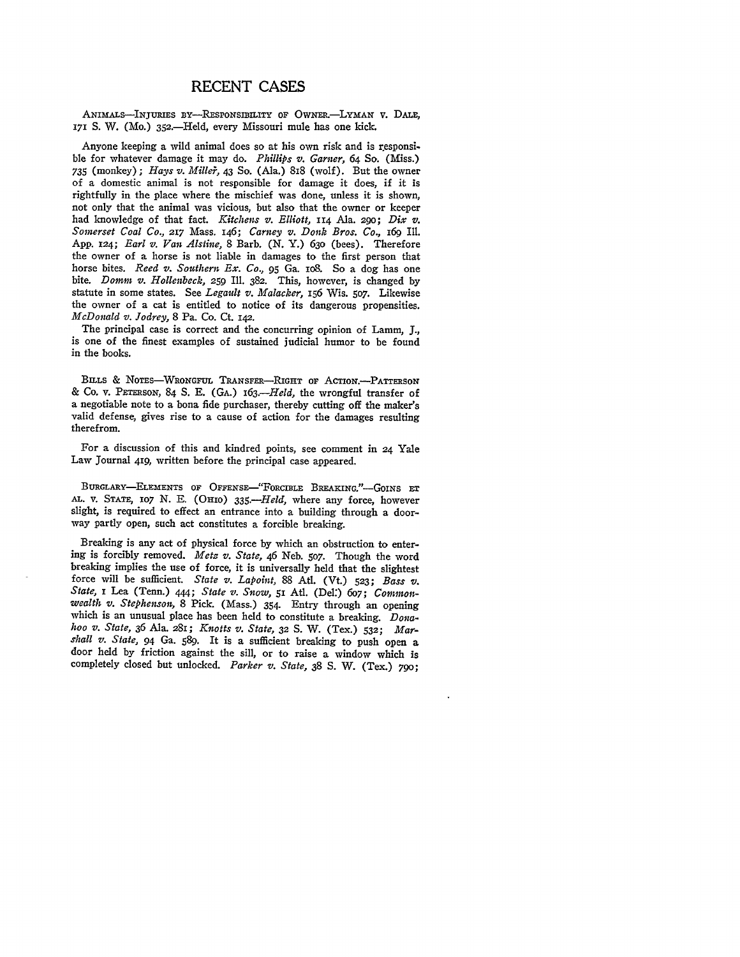## **RECENT CASES**

ANIMALS-INJURIES BY-RESPONSIBILITY OF OWNER.-LYMAN V. DALE, 171 S. W. (Mo.) 352.-Held, every Missouri mule has one kick.

Anyone keeping a wild animal does so at his own risk and is responsi. ble for whatever damage it may do. *Phillips v. Garner, 64* So. (Miss.) *735* (monkey); *Hays v. Miller*, 43 So. (Ala.) 818 (wolf). But the owner of a domestic animal is not responsible for damage it does, if it is rightfully in the place where the mischief was done, unless it is shown, not only that the animal was vicious, but also that the owner or keeper had knowledge of that fact. *Kitchens v. Elliott,* 114 Ala. 290; *Dix z. Somerset Coal Co.,* 217 Mass. 146; *Carney v. Donk Bros. Co.,* 169 Ill. App. *124; Earl v. Van Alstine,* 8 Barb. (N. Y.) 630 (bees). Therefore the owner of a horse is not liable in damages to the first person that horse bites. *Reed v. Southern Ex. Co.,* **95** Ga. io8. So a dog has one bite. Domm *v. Hollenbeck, 259* Ill. 382. This, however, is changed **by** statute in some states. See *Legault v. Malacker,* 156 Wis. **507.** Likewise the owner of a cat is entitled to notice of its dangerous propensities. *McDonald v. Jodrey,* **8** Pa. Co. Ct. **142.**

The principal case is correct and the concurring opinion of Lamm, **J.,** is one of the finest examples **of** sustained judicial humor to be found in the books.

BILLS **&** NOTES-WRONGFUL TRANSFER-RIGHT **OF** AcTioN.-PATTERsON & Co. v. **PETERSON,** 84 **S.** E. (GA.) *163.-Held,* the wrongful transfer of a negotiable note to a bona fide purchaser, thereby cutting off the maker's valid defense, gives rise to a cause of action for the damages resulting therefrom.

For a discussion of this and kindred points, see comment in 24 Yale Law Journal 419, written before the principal case appeared.

BURGLARY-ELEMENTS **OF** OFFENSE-FORCIBLE **BREAKING."-GoINs ET AL.** v. **STATE, 107** N. E. **(OHIO)** *335.-Held,* where any force, however slight, is required to effect an entrance into a building through a doorway partly open, such act constitutes a forcible breaking.

Breaking is any act of physical force **by** which an obstruction to entering is forcibly removed. *Metz v. State,* 46 Neb. **507.** Though the word breaking implies the use of force, it is universally held that the slightest force will be sufficient. *State v. Lapoint,* **88** At. (Vt.) **523;** *Bass v. State,* **I** Lea (Tenn.) 444; *State v. Snow,* **51** AtI. (Del:) 6o7; *Commonwealth v. Stephenson,* 8 Pick. (Mass.) 354. Entry through an opening which is an unusual place has been held to constitute a breaking. *Donahoo v. State,* **36** Ala. 281; *Knotts v. State,* **32 S.** W. (Tex.) **532;** *Marshall v. State,* 94 Ga. **589.** It is a sufficient breaking to push open a door held **by** friction against the sill, or to raise a window which is completely closed but unlocked. *Parker v. State,* **38 S.** W. (Tex.) 79o;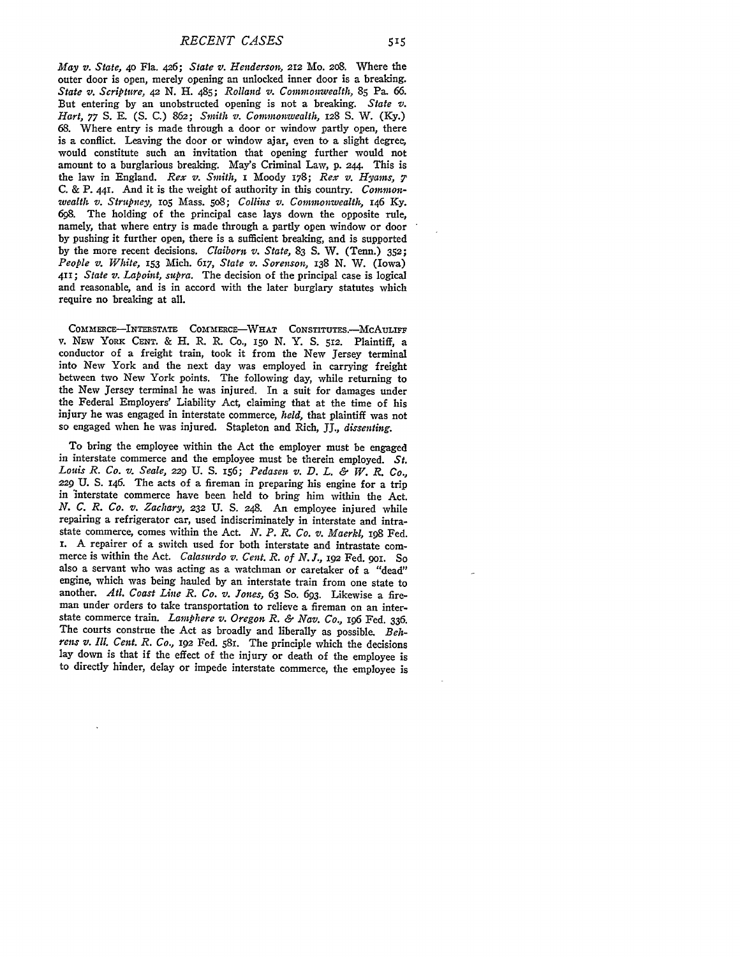*May v. State,* **4o** Fla. 426; *State v. Henderson,* 212 Mo. 208. Where the outer door is open, merely opening an unlocked inner door is a breaking. *State v. Scripture, 42* **N.** H. 485; *Rolland v. Commonwealth,* **85** Pa. **66.** But entering **by** an unobstructed opening is not a breaking. *State v. Hart, 77* **S. E. (S. C.)** 862; *Smith v. Commonwealth,* 128 **S.** W. (Ky.) **68.** Where entry is made through a door or window partly open, there is a conflict. Leaving the door or window ajar, even to a slight degree, would constitute such an invitation that opening further would not amount to a burglarious breaking. May's Criminal Law, p. 244. This is the law in England. *Rex v. Smith,* i Moody 178; *Rex v. Hyams, 7* C. & P. 441. And it is the weight of authority in this country. *Commonwealth v. Strupney,* **1o5** Mass. 508; *Collins v. Commonwealth, 146* **Ky. 698.** The holding of the principal case lays down the opposite rule, namely, that where entry is made through a partly open window or door by pushing it further open, there is a sufficient breaking, and is supported by the more recent decisions. *Claiborn v. State,* 83 S. W. (Tenn.) 352; *People v. White,* 153 Mich. 617, *State v. Sorenson, 138* N. W. (Iowa) *411; State v. Lapoint, supra.* The decision of the principal case is logical and reasonable, and is in accord with the later burglary statutes which require no breaking at all.

COMMERCE-INTERSTATE COMMERCE-WHAT CONSTITUTES.-MCAULIFF v. NEW YoRic **CENT.** & H. R. R. Co., I5o N. Y. **S.** 512. Plaintiff, a conductor of a freight train, took it from the New Jersey terminal into New York and the next day was employed in carrying freight between two New York points. The following day, while returning to the New Jersey terminal he was injured. In a suit for damages under the Federal Employers' Liability Act, claiming that at the time of his injury he was engaged in interstate commerce, *held,* that plaintiff was not so engaged when he was injured. Stapleton and Rich, JJ., *dissenting.*

To bring the employee within the Act the employer must be engaged in interstate commerce and the employee must be therein employed. *St. Louis R. Co. v. Scale, 229* U. S. I56; *Pedasen v. D. L. & W. R. Co., 229* U. **S.** 146. The acts of a fireman in preparing his engine for a trip in interstate commerce have been held to bring him within the Act. *N. C. R. Co. v. Zachary,* 232 U. **S.** 248. An employee injured while repairing a refrigerator car, used indiscriminately in interstate and intrastate commerce, comes within the Act. *N. P. R. Co. v. Maerkl,* 198 Fed. i. A repairer of a switch used for both interstate and intrastate commerce is within the Act. *Calasurdo v. Cent. R. of N.J.,* 192 Fed. 9o1. So also a servant who was acting as a watchman or caretaker of a "dead" engine, which was being hauled by an interstate train from one state to another. *Atl. Coast Line R. Co. v. Jones*, 63 So. 693. Likewise a fire-<br>man under orders to take transportation to relieve a fireman on an interstate commerce train. *Lamphere v. Oregon R. & Nay. Co., 196* Fed. 336. The courts construe the Act as broadly and liberally as possible. *Behrens v. Ill. Cent. R. Co.,* **192** Fed. **58I.** The principle which the decisions lay down is that if the effect of the injury or death of the employee is to directly hinder, delay or impede interstate commerce, the employee is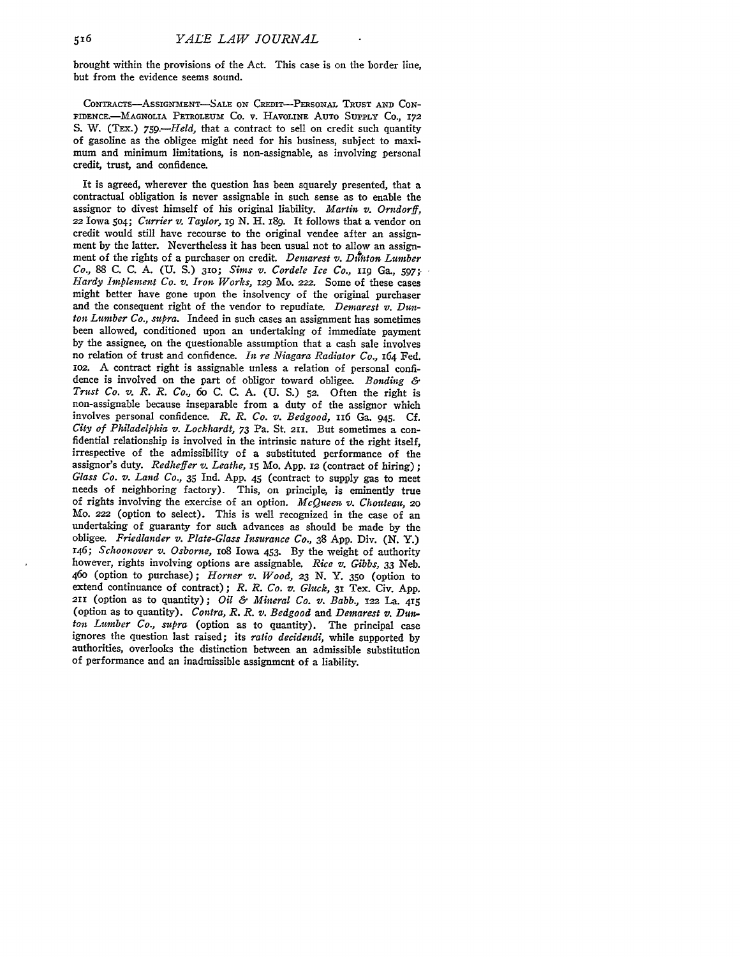brought within the provisions of the Act. This case is on the border line, but from the evidence seems sound.

CoNTRAcTs-AsslGNXa ENT-SALE **ON** CREDIT-PERsoNAL TRUST **AND** CON-FIDENCE.-MAGNOLIA PETROLEUM Co. v. HAVOLINE AUTO **SUPPLY** Co., 172 S. W. (TEX.) *759.—Held*, that a contract to sell on credit such quantity of gasoline as the obligee might need for his business, subject to maximum and minimum limitations, is non-assignable, as involving personal credit, trust, and confidence.

It is agreed, wherever the question has been squarely presented, that a contractual obligation is never assignable in such sense as to enable the assignor to divest himself of his original liability. *Martin v. Orndorff,* 22 Iowa **5o4;** *Currier v. Taylor, i9* N. H. i89. It follows that a vendor on credit would still have recourse to the original vendee after an assignment by the latter. Nevertheless it has been usual not to allow an assignment of the rights of a purchaser on credit. *Demarest v. Duhton Lumber Co.,* 88 C. C. A. **(U.** S.) *310; Sims v. Cordele Ice Co.,* **zIg** Ga., **597;,** *Hardy Implement Co. v. Iron Works,* 129 Mo. *222.* Some of these cases might better have gone upon the insolvency of the original purchaser and the consequent right of the vendor to repudiate. *Demarest v. Dunton Lumber Co., supra.* Indeed in such cases an assignment has sometimes been allowed, conditioned upon an undertaking of immediate payment **by** the assignee, on the questionable assumption that a cash sale involves no relation of trust and confidence. *In re Niagara Radiator Co.,* 164 Fed. **lO2.** A contract right is assignable unless a relation of personal confidence is involved on the part of obligor toward obligee. *Bonding & Trust Co. v. R. R. Co., 6o* **C. C. A. (U. S.)** *52.* Often the right is non-assignable because inseparable from a duty of the assignor which involves personal confidence. *R. R. Co. v. Bedgood,* 116 Ga. 945. **Cf.** *City of Philadelphia v. Locklurdt,* **73** Pa. St. 211. But sometimes a confidential relationship is involved in the intrinsic nature of the right itself, irrespective of the admissibility of a substituted performance of the assignor's duty. *Redheffer v. Leathe,* **i5** Mo. App. 12 (contract of hiring); *Glass Co. v. Land Co.,* **35** Ind. **App.** 45 (contract to supply gas to meet needs of neighboring factory). This, on principle, is eminently true of rights involving the exercise of an option. *McQueen v. Chouteau, 20* Mo. 222 (option to select). This is well recognized in the case of an undertaking of guaranty for such advances as should be made **by** the obligee. *Friedlander v. Plate-Glass Insurance Co.,* **38** App. Div. **(N.** Y.) 146; *Schoonover v. Osborne,* **io8** Iowa 453. **By** the weight of authority however, rights involving options are assignable. *Rice v. Gibbs,* **33** Neb. 46o (option to purchase); *Horner v. Wood, 23 N.* **Y. 350** (option to extend continuance of contract); *R. R. Co. v. Gluck,* **31** Tex. Civ. **App.** 211 (option as to quantity); *Oil & Mineral Co. v. Babb.,* **122** La. **<sup>415</sup>** (option as to quantity). *Contra, R. R. v. Bedgood and Demarest v. Dun. ton Lumber Co., supra* (option as to quantity). The principal case ignores the question last raised; its *ratio decidendi,* while supported **by** authorities, overlooks the distinction between an admissible substitution of performance and an inadmissible assignment of a liability.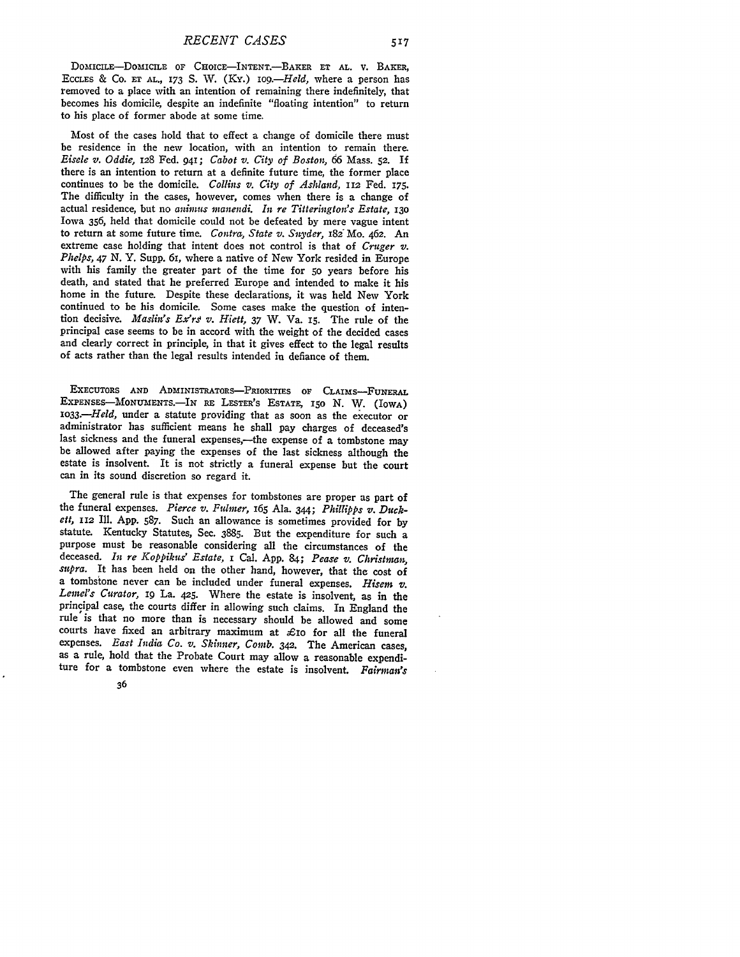DOMICILE-DOMICILE OF CHOICE-INTENT.-BAKER ET AL. **V.** BAKER, ECCLES & **CO. ET** AL., 173 **S.** W. (Ky.) *iog.-Held,* where a person has removed to a place with an intention of remaining there indefinitely, that becomes his domicile, despite an indefinite "floating intention" to return to his place of former abode at some time.

Most of the cases hold that to effect a change of domicile there must **be** residence in the new location, with an intention to remain there. *Eisele v. Oddie,* 128 Fed. 941; *Cabot v. City of Boston, 66* Mass. **52.** If there is an intention to return at a definite future time, the former place continues to be the domicile. *Collins v. City of Ashland,* **112** Fed. 175. The difficulty in the cases, however, comes when there is a change of actual residence, but no *animus inanendi. it re Titterington's Estate, 13o* Iowa 356, held that domicile could not be defeated by mere vague intent to return at some future time. *Contra, State v. Snyder, 182<sup>'</sup>Mo. 462. An* extreme case holding that intent does not control is that of *Cruger v. Phelps, 47 N.Y.* Supp. 61, where a native of New York resided in Europe with his family the greater part of the time for 5o years before his death, and stated that he preferred Europe and intended to make it his home in the future. Despite these declarations, it was held New York continued to be his domicile. Some cases make the question of intention decisive. *Maslin's Ex'rj v. Hiett, 37* W. Va. **15.** The rule **of** the principal case seems to be in accord with the weight of the decided cases and clearly correct in principle, in that it gives effect to the legal results of acts rather than the legal results intended in defiance of them.

EXECUTORS AND ADMINISTRATORS-PRIORITIES OF CLAIMS-FUNERAL EXPENSES-MONUMENTS.-IN RE LESTER'S ESTATE, 150 N. W. (IOWA) *1033.-Held,* under a statute providing that as soon as the executor or administrator has sufficient means he shall pay charges of deceased's last sickness and the funeral expenses,-the expense of a tombstone may be allowed after paying the expenses of the last sickness although the estate is insolvent. It is not strictly a funeral expense but the court can in its sound discretion so regard it.

The general rule is that expenses for tombstones are proper as part of the funeral expenses. *Pierce v. Fulmer,* 165 Ala. 344; *Phillipps v. Duckett,* **112** Ill. **App. 587.** Such an allowance is sometimes provided for by statute. Kentucky Statutes, Sec. **3885.** But the expenditure for such a purpose must be reasonable considering all the circumstances of the deceased. *In re Koppikus' Estate,* i Cal. App. 84; *Pease v. Christman,* supra. It has been held on the other hand, however, that the cost of a tombstone never can be included under funeral expenses. *Hisem v. Lemel's Curator*, 19 La.  $425$ . Where the estate is insolvent, as in the principal case, the courts differ in allowing such claims. In England the rule is that no more than is necessary should be allowed and some courts have fixed an arbitrary maximum at  $\mathcal{L}$ io for all the funeral expenses. *East India Co. v. Skinner, Comb.* 342. The American cases, as a rule, hold that the Probate Court may allow a reasonable expenditure for a tombstone even where the estate is insolvent. *Fairman's*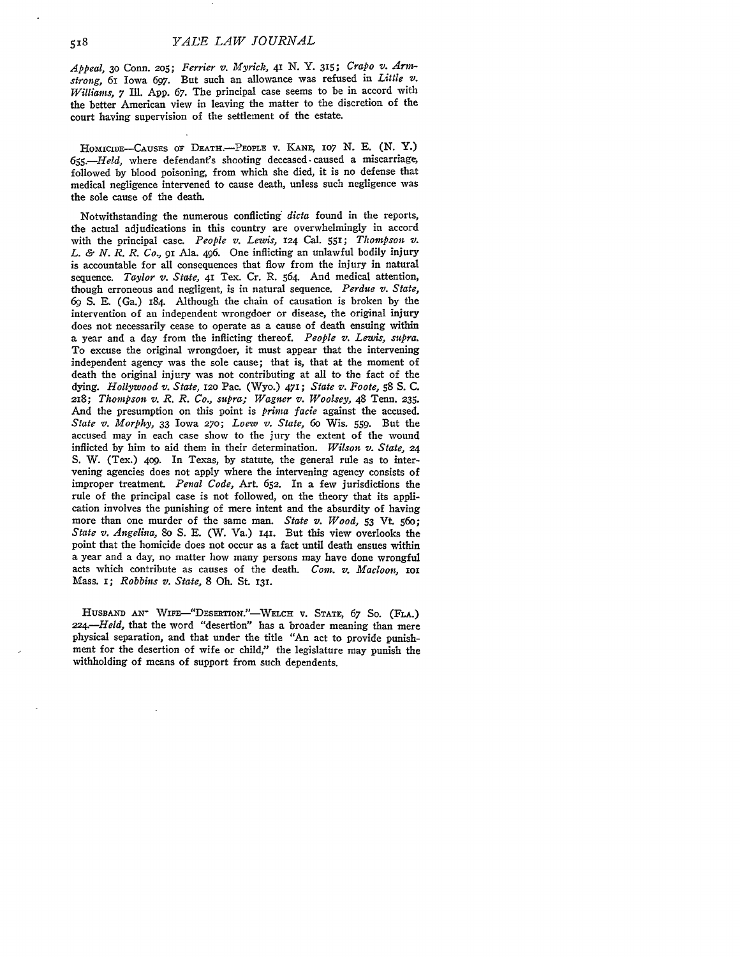*Appeal,* **30** Conn. 2o5; *Ferrier v. Myrick,* 41 *N.* Y. **315;** *Crapo v. Armstrong,* 61 Iowa **697.** But such an allowance was refused in *Little v. Williams, 7* **Il.** App. **67.** The principal case seems to be in accord with the better American view in leaving the matter to the discretion of the court having supervision of the settlement of the estate.

HOMICIDE-CAUSES OF DEATH.-PEOPLE V. KANE, 107 N. E. (N. Y.) *655.-Held,* where defendant's shooting deceased **-** caused a miscarriage, followed by blood poisoning, from which she died, it is no defense that medical negligence intervened to cause death, unless such negligence was the sole cause of the death.

Notwithstanding the numerous conflicting *dicta* found in the reports, the actual adjudications in this country are overwhelmingly in accord with the principal case. *People v. Lewis,* 124 Cal. **551;** *Thompson v. L. & N. R. R. Co.,* 91 Ala. 496. One inflicting an unlawful bodily injury is accountable for all consequences that flow from the injury in natural sequence. *Taylor v. State,* 41 Tex. Cr. R. 564. And medical attention, though erroneous and negligent, is in natural sequence. *Perdue v. State, 69* **S. E.** (Ga.) 184. Although the chain of causation is broken **by** the intervention of an independent wrongdoer or disease, the original injury does not necessarily cease to operate as a cause of death ensuing within a year and a day from the inflicting thereof. *People v. Lewis, supra.* To excuse the original wrongdoer, it must appear that the intervening independent agency was the sole cause; that is, that at the moment of death the original injury was not contributing at all to the fact of the dying. *Hollywood z. State, 12o* Pac. (Wyo.) 471; *State v. Foote,* **58 S.** C. **218;** *Thompson v. R. R. Co., supra; Wagner v. Woolsey,* 48 Tenn. **235.** And the presumption on this point is *prima facie* against the accused. *State v. Morphy,* **33** Iowa 27o; *Loew v. State, 6o* Wis. **559.** But the accused may in each case show to the jury the extent of the wound inflicted **by** him to aid them in their determination. *Wilson v. State, 24* **S.** W. (Tex.) 4o9. In Texas, **by** statute, the general rule as to intervening agencies does not apply where the intervening agency consists of improper treatment. *Penal Code,* Art. 652. In a few jurisdictions the rule of the principal case is not followed, on the theory that its application involves the punishing of mere intent and the absurdity of having more than one murder of the same man. *State v. Wood,* **53 Vt. 56o;** *State v. Angelina,* So **S. E.** (W. Va.) **141.** But this view overlooks the point that the homicide does not occur as a fact until death ensues within a year and a day, no matter how many persons may have done wrongful acts which contribute as causes of the death. *Com. v. Macloon*, *IOI* Mass. **i;** *Robbins v. State,* 8 Oh. St. 131.

HUSBAND AN<sup>-</sup> WIFE-"DESERTION."-WELCH v. STATE, 67 So. (FLA.) *224.-Held,* that the word "desertion" has a broader meaning than mere physical separation, and that under the title "An act to provide punishment for the desertion of wife or child," the legislature may punish the withholding of means of support from such dependents.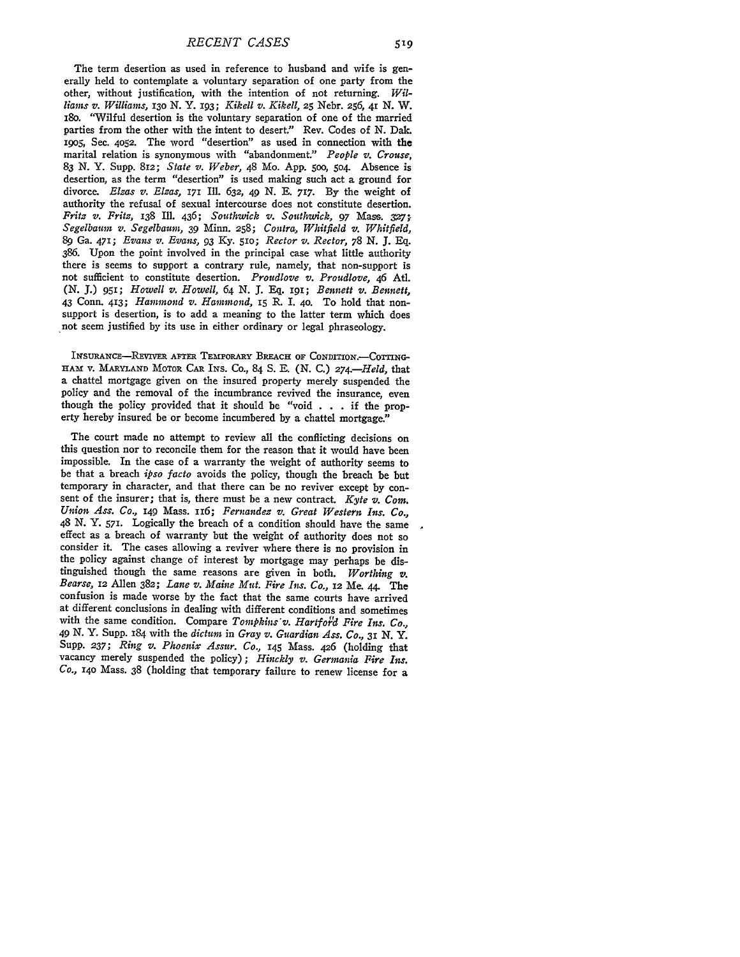The term desertion as used in reference to husband and wife is generally held to contemplate a voluntary separation of one party from the other, without justification, with the intention of not returning. *Williams v. Williams, 13o* **N.** Y. 193; *Kikell v. Kikell, 25* Nebr. 256, 41 **N.** W. i8o. "Wilful desertion is the voluntary separation of one of the married parties from the other with the intent to desert." Rev. Codes of **N.** Dak. *i9o5,* Sec. **4052.** The word "desertion" as used in connection with the marital relation is synonymous with "abandonment." *People v. Crouse, 83* **N.** Y. **Supp.** 812; *State v. Weber,* 48 Mo. **App. 500,** 504. Absence is desertion, as the term "desertion" is used making such act a ground for divorce. *Elzas v. Elzas,* **171** Ill. **632,** 49 **N. E. 717. By** the weight of authority the refusal of sexual intercourse does not constitute desertion. *Fritz v. Fritz, 138 Ill. 436; Southwick v. Southwick, 97 Mass. 327; Segelbaurn v. Segelbaum, 39* Minn. 258; *Contra, Whitfield v. Whitfield,* **89** Ga. **471;** *Evans v. Evans,* **93** *Ky. 51O; Rector v. Rector, 78 N.* **J. Eq. 386.** Upon the point involved in the principal case what little authority there is seems to support a contrary rule, namely, that non-support is not sufficient to constitute desertion. *Proudlove v. Proudlove,* 46 Atl. **(N.** *J.)* 951; *Howell v. Howell, 64* **N. J. Eq. 191;** *Bennett v. Bennett,* support is desertion, is to add a meaning to the latter term which does not seem justified by its use in either ordinary or legal phraseology.

INsURANcE-REVIVER **AFTER TEMPORARY** BREAcH **OF CONDITION.-COTING-HAM** V. **MARYLAND** MOTOR CAR **INS.** Co., 84 **S. E.** (N. C.) *274-Held,* that a chattel mortgage given on the insured property merely suspended the though the policy provided that it should be "void . . . if the property hereby insured be or become incumbered **by** a chattel mortgage."

The court made no attempt to review all the conflicting decisions on this question nor to reconcile them for the reason that it would have been impossible. In the case of a warranty the weight of authority seems to be that a breach *ipso facto* avoids the policy, though the breach be but temporary in character, and that there can be no reviver except by consent of the insurer; that is, there must be a new contract. *Kyte v. Com. Union Ass. Co.,* 149 Mass. II6; *Fernandez v. Great Western Ins. Co.,* 48 **N. Y.** 571. Logically the breach of a condition should have the same effect as a breach of warranty but the weight of authority does not so consider it. The cases allowing a reviver where there is no provision in the policy against change of interest **by** mortgage may perhaps be distinguished though the same reasons are given in both. *Worthing v. Bearse,* 12 Allen 382; *Lane v. Maine Mut. Fire Ins. Co.,* 12 Me. *44.* The confusion is made worse by the fact that the same courts have arrived at different conclusions in dealing with different conditions and sometimes with the same condition. Compare *Tompkins'v. Hartfotd Fire Ins. Co., 49* N. Y. Supp. 184 with the *dictum* in *Gray v. Guardian Ass. Co., 31* N. Y. **Supp.** *237; Ring v. Phoenix Assur. Co.,* 145 Mass. 426 (holding that vacancy merely suspended the policy); *Hinckly v. Germania Fire Ins. Co.,* 14o Mass. 38 (holding that temporary failure to renew license for a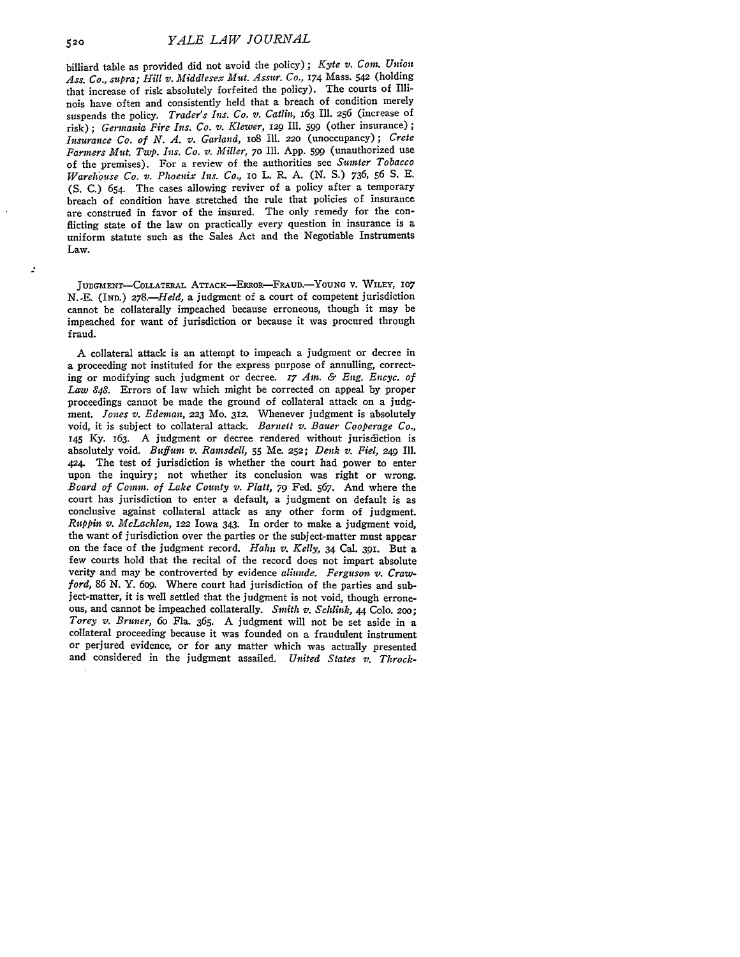billiard table as provided did not avoid the policy) ; *Kyte v. Com. Union Ass. Co., supra; Hill v. Middlesex Mit. Assier. Co.,* **174** Mass. *542* (holding that increase of risk absolutely forfeited the policy). The courts of Illinois have often and consistently held that a breach of condition merely suspends the policy. *Trader's Ins. Co. v. Catlin,* 163 Ill. 256 (increase of risk); *Gerinatia Fire Ins. Co. v. Klewer, 129* Ill. **599** (other insurance) **;** *Insurance Co. of N. A. v. Garland,* io8 Ill. **220** (unoccupancy); *Crete Farmers Mit. Twp. Ins. Co. v. Miller,* **70** Ill. App. **599** (unauthorized use of the premises). For a review of the authorities see *Sumter Tobacco Warelouse Co. v. Phoenix Ins. Co.,* io L. R. A. (N. S.) 736, 56 S. E. (S. C.) 654. The cases allowing reviver of a policy after a temporary breach of condition have stretched the rule that policies of insurance are construed in favor of the insured. The only remedy for the conflicting state of the law on practically every question in insurance is a uniform statute such as the Sales Act and the Negotiable Instruments Law.

**JUDGMENT-COLLATERAL** ATTAcK-ERRoR-FRAUD.-YOUNG V. WILEY, **107 N.-E.** (IND.) *278.-Held,* a judgment of a court of competent jurisdiction cannot be collaterally impeached because erroneous, though it may be impeached for want of jurisdiction or because it was procured through fraud.

A collateral attack is an attempt to impeach a judgment or decree in a proceeding not instituted for the express purpose of annulling, correcting or modifying such judgment or decree. *17 Am. & Eng. Encyc. of Law 848.* Errors of law which might be corrected on appeal by proper proceedings cannot be made the ground of collateral attack on a **judg**ment. *Jones v. Edernan,* **223** Mo. **312.** Whenever judgment is absolutely void, it is subject to collateral attack. *Barnett v. Baier Cooperage Co.,* 145 Ky. 163. A judgment or decree rendered without jurisdiction is absolutely void. *Buffum v. Ramsdell,* **55** Me. **252;** *Denk v. Fiel, 249* Ill. 424. The test of jurisdiction is whether the court had power to enter upon the inquiry; not whether its conclusion was right or wrong. *Board of Comm. of Lake Couty v. Platt, 79* Fed. 567. And where the court has jurisdiction to enter a default, a judgment on default is as conclusive against collateral attack as any other form of judgment. *Ruppin v. McLachlen,* **122** Iowa 343. In order to make a judgment void, the want of jurisdiction over the parties or the subject-matter must appear on the face of the judgment record. *Hahn v. Kelly,* 34 Cal. **391.** But a few courts hold that the recital of the record does not impart absolute verity and may be controverted by evidence *aliunde. Ferguson v. Crawford, 86 N.* Y. 6og. Where court had jurisdiction of the parties and subject-matter, it is well settled that the judgment is not void, though erroneous, and cannot be impeached collaterally. *Smith v. Schlink, 44* Colo. **200;** *Torey v. Bruner, 6o* **Fla.** 365. A judgment will not be set aside in a collateral proceeding because it was founded on a fraudulent instrument or perjured evidence, or for any matter which was actually presented and considered in the judgment assailed. *United States v. Throck-*

 $\mathcal{L}$